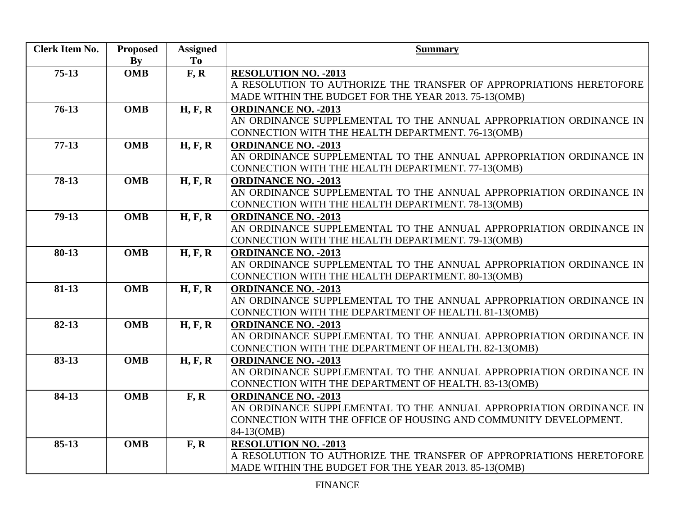| <b>Clerk Item No.</b> | <b>Proposed</b> | <b>Assigned</b> | <b>Summary</b>                                                      |
|-----------------------|-----------------|-----------------|---------------------------------------------------------------------|
|                       | By              | To              |                                                                     |
| $75-13$               | <b>OMB</b>      | F, R            | <b>RESOLUTION NO. - 2013</b>                                        |
|                       |                 |                 | A RESOLUTION TO AUTHORIZE THE TRANSFER OF APPROPRIATIONS HERETOFORE |
|                       |                 |                 | MADE WITHIN THE BUDGET FOR THE YEAR 2013. 75-13(OMB)                |
| $76-13$               | <b>OMB</b>      | H, F, R         | <b>ORDINANCE NO. - 2013</b>                                         |
|                       |                 |                 | AN ORDINANCE SUPPLEMENTAL TO THE ANNUAL APPROPRIATION ORDINANCE IN  |
|                       |                 |                 | CONNECTION WITH THE HEALTH DEPARTMENT. 76-13(OMB)                   |
| $77-13$               | <b>OMB</b>      | H, F, R         | <b>ORDINANCE NO. - 2013</b>                                         |
|                       |                 |                 | AN ORDINANCE SUPPLEMENTAL TO THE ANNUAL APPROPRIATION ORDINANCE IN  |
|                       |                 |                 | CONNECTION WITH THE HEALTH DEPARTMENT. 77-13(OMB)                   |
| 78-13                 | <b>OMB</b>      | H, F, R         | <b>ORDINANCE NO. - 2013</b>                                         |
|                       |                 |                 | AN ORDINANCE SUPPLEMENTAL TO THE ANNUAL APPROPRIATION ORDINANCE IN  |
|                       |                 |                 | CONNECTION WITH THE HEALTH DEPARTMENT. 78-13(OMB)                   |
| $79-13$               | <b>OMB</b>      | H, F, R         | <b>ORDINANCE NO. - 2013</b>                                         |
|                       |                 |                 | AN ORDINANCE SUPPLEMENTAL TO THE ANNUAL APPROPRIATION ORDINANCE IN  |
|                       |                 |                 | CONNECTION WITH THE HEALTH DEPARTMENT. 79-13(OMB)                   |
| 80-13                 | <b>OMB</b>      | H, F, R         | <b>ORDINANCE NO. - 2013</b>                                         |
|                       |                 |                 | AN ORDINANCE SUPPLEMENTAL TO THE ANNUAL APPROPRIATION ORDINANCE IN  |
|                       |                 |                 | CONNECTION WITH THE HEALTH DEPARTMENT. 80-13(OMB)                   |
| $81 - 13$             | <b>OMB</b>      | H, F, R         | <b>ORDINANCE NO. - 2013</b>                                         |
|                       |                 |                 | AN ORDINANCE SUPPLEMENTAL TO THE ANNUAL APPROPRIATION ORDINANCE IN  |
|                       |                 |                 | CONNECTION WITH THE DEPARTMENT OF HEALTH. 81-13(OMB)                |
| 82-13                 | <b>OMB</b>      | H, F, R         | <b>ORDINANCE NO. - 2013</b>                                         |
|                       |                 |                 | AN ORDINANCE SUPPLEMENTAL TO THE ANNUAL APPROPRIATION ORDINANCE IN  |
|                       |                 |                 | CONNECTION WITH THE DEPARTMENT OF HEALTH. 82-13(OMB)                |
| 83-13                 | <b>OMB</b>      | H, F, R         | <b>ORDINANCE NO. - 2013</b>                                         |
|                       |                 |                 | AN ORDINANCE SUPPLEMENTAL TO THE ANNUAL APPROPRIATION ORDINANCE IN  |
|                       |                 |                 | CONNECTION WITH THE DEPARTMENT OF HEALTH. 83-13(OMB)                |
| 84-13                 | <b>OMB</b>      | F, R            | <b>ORDINANCE NO. - 2013</b>                                         |
|                       |                 |                 | AN ORDINANCE SUPPLEMENTAL TO THE ANNUAL APPROPRIATION ORDINANCE IN  |
|                       |                 |                 | CONNECTION WITH THE OFFICE OF HOUSING AND COMMUNITY DEVELOPMENT.    |
|                       |                 |                 | 84-13(OMB)                                                          |
| $85 - 13$             | <b>OMB</b>      | F, R            | <b>RESOLUTION NO. - 2013</b>                                        |
|                       |                 |                 | A RESOLUTION TO AUTHORIZE THE TRANSFER OF APPROPRIATIONS HERETOFORE |
|                       |                 |                 | MADE WITHIN THE BUDGET FOR THE YEAR 2013. 85-13(OMB)                |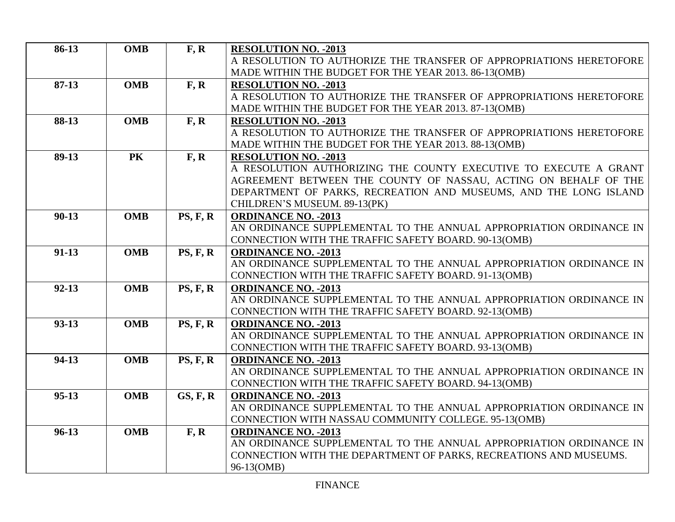| 86-13     | <b>OMB</b> | F, R                   | <b>RESOLUTION NO. - 2013</b>                                        |
|-----------|------------|------------------------|---------------------------------------------------------------------|
|           |            |                        | A RESOLUTION TO AUTHORIZE THE TRANSFER OF APPROPRIATIONS HERETOFORE |
|           |            |                        | MADE WITHIN THE BUDGET FOR THE YEAR 2013. 86-13(OMB)                |
| $87-13$   | <b>OMB</b> | F, R                   | <b>RESOLUTION NO. - 2013</b>                                        |
|           |            |                        | A RESOLUTION TO AUTHORIZE THE TRANSFER OF APPROPRIATIONS HERETOFORE |
|           |            |                        | MADE WITHIN THE BUDGET FOR THE YEAR 2013. 87-13(OMB)                |
| 88-13     | <b>OMB</b> | F, R                   | <b>RESOLUTION NO. - 2013</b>                                        |
|           |            |                        | A RESOLUTION TO AUTHORIZE THE TRANSFER OF APPROPRIATIONS HERETOFORE |
|           |            |                        | MADE WITHIN THE BUDGET FOR THE YEAR 2013. 88-13(OMB)                |
| 89-13     | PK         | F, R                   | <b>RESOLUTION NO. - 2013</b>                                        |
|           |            |                        | A RESOLUTION AUTHORIZING THE COUNTY EXECUTIVE TO EXECUTE A GRANT    |
|           |            |                        | AGREEMENT BETWEEN THE COUNTY OF NASSAU, ACTING ON BEHALF OF THE     |
|           |            |                        | DEPARTMENT OF PARKS, RECREATION AND MUSEUMS, AND THE LONG ISLAND    |
|           |            |                        | CHILDREN'S MUSEUM. 89-13(PK)                                        |
| $90 - 13$ | <b>OMB</b> | PS, F, R               | <b>ORDINANCE NO. - 2013</b>                                         |
|           |            |                        | AN ORDINANCE SUPPLEMENTAL TO THE ANNUAL APPROPRIATION ORDINANCE IN  |
|           |            |                        | CONNECTION WITH THE TRAFFIC SAFETY BOARD. 90-13(OMB)                |
| $91-13$   | <b>OMB</b> | PS, F, R               | <b>ORDINANCE NO. - 2013</b>                                         |
|           |            |                        | AN ORDINANCE SUPPLEMENTAL TO THE ANNUAL APPROPRIATION ORDINANCE IN  |
|           |            |                        | CONNECTION WITH THE TRAFFIC SAFETY BOARD. 91-13(OMB)                |
| $92 - 13$ | <b>OMB</b> | PS, F, R               | <b>ORDINANCE NO. - 2013</b>                                         |
|           |            |                        | AN ORDINANCE SUPPLEMENTAL TO THE ANNUAL APPROPRIATION ORDINANCE IN  |
|           |            |                        | CONNECTION WITH THE TRAFFIC SAFETY BOARD. 92-13(OMB)                |
| $93 - 13$ | <b>OMB</b> | $\overline{PS}$ , F, R | <b>ORDINANCE NO. - 2013</b>                                         |
|           |            |                        | AN ORDINANCE SUPPLEMENTAL TO THE ANNUAL APPROPRIATION ORDINANCE IN  |
|           |            |                        | CONNECTION WITH THE TRAFFIC SAFETY BOARD. 93-13(OMB)                |
| 94-13     | <b>OMB</b> | PS, F, R               | <b>ORDINANCE NO. - 2013</b>                                         |
|           |            |                        | AN ORDINANCE SUPPLEMENTAL TO THE ANNUAL APPROPRIATION ORDINANCE IN  |
|           |            |                        | CONNECTION WITH THE TRAFFIC SAFETY BOARD. 94-13(OMB)                |
| $95-13$   | <b>OMB</b> | GS, F, R               | <b>ORDINANCE NO. - 2013</b>                                         |
|           |            |                        | AN ORDINANCE SUPPLEMENTAL TO THE ANNUAL APPROPRIATION ORDINANCE IN  |
|           |            |                        | CONNECTION WITH NASSAU COMMUNITY COLLEGE. 95-13(OMB)                |
| $96-13$   | <b>OMB</b> | F, R                   | <b>ORDINANCE NO. - 2013</b>                                         |
|           |            |                        | AN ORDINANCE SUPPLEMENTAL TO THE ANNUAL APPROPRIATION ORDINANCE IN  |
|           |            |                        | CONNECTION WITH THE DEPARTMENT OF PARKS, RECREATIONS AND MUSEUMS.   |
|           |            |                        | 96-13(OMB)                                                          |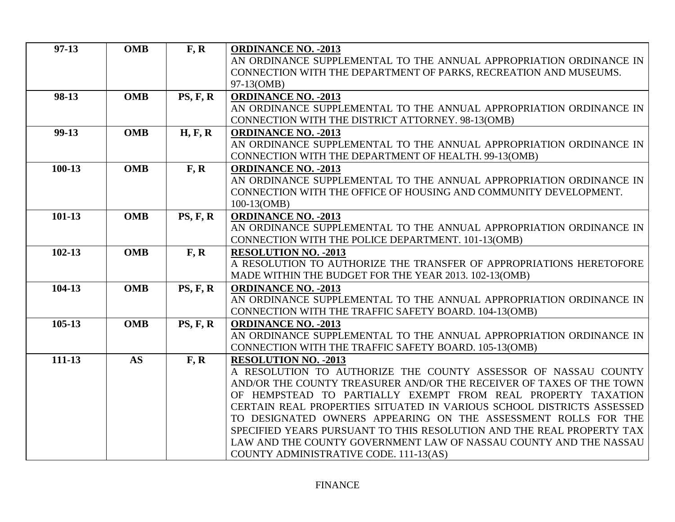| $97-13$    | <b>OMB</b> | F, R     | <b>ORDINANCE NO. - 2013</b>                                                                                                             |
|------------|------------|----------|-----------------------------------------------------------------------------------------------------------------------------------------|
|            |            |          | AN ORDINANCE SUPPLEMENTAL TO THE ANNUAL APPROPRIATION ORDINANCE IN                                                                      |
|            |            |          | CONNECTION WITH THE DEPARTMENT OF PARKS, RECREATION AND MUSEUMS.                                                                        |
|            |            |          | 97-13(OMB)                                                                                                                              |
| 98-13      | <b>OMB</b> | PS, F, R | <b>ORDINANCE NO. - 2013</b>                                                                                                             |
|            |            |          | AN ORDINANCE SUPPLEMENTAL TO THE ANNUAL APPROPRIATION ORDINANCE IN                                                                      |
|            |            |          | CONNECTION WITH THE DISTRICT ATTORNEY. 98-13(OMB)                                                                                       |
| $99-13$    | <b>OMB</b> | H, F, R  | <b>ORDINANCE NO. - 2013</b>                                                                                                             |
|            |            |          | AN ORDINANCE SUPPLEMENTAL TO THE ANNUAL APPROPRIATION ORDINANCE IN                                                                      |
|            |            |          | CONNECTION WITH THE DEPARTMENT OF HEALTH. 99-13(OMB)                                                                                    |
| $100 - 13$ | <b>OMB</b> | F, R     | <b>ORDINANCE NO. - 2013</b>                                                                                                             |
|            |            |          | AN ORDINANCE SUPPLEMENTAL TO THE ANNUAL APPROPRIATION ORDINANCE IN                                                                      |
|            |            |          | CONNECTION WITH THE OFFICE OF HOUSING AND COMMUNITY DEVELOPMENT.                                                                        |
|            |            |          | 100-13(OMB)                                                                                                                             |
| $101 - 13$ | <b>OMB</b> | PS, F, R | <b>ORDINANCE NO. - 2013</b>                                                                                                             |
|            |            |          | AN ORDINANCE SUPPLEMENTAL TO THE ANNUAL APPROPRIATION ORDINANCE IN                                                                      |
|            |            |          | CONNECTION WITH THE POLICE DEPARTMENT. 101-13(OMB)                                                                                      |
| $102 - 13$ | <b>OMB</b> | F, R     | <b>RESOLUTION NO. - 2013</b>                                                                                                            |
|            |            |          | A RESOLUTION TO AUTHORIZE THE TRANSFER OF APPROPRIATIONS HERETOFORE                                                                     |
|            |            |          | MADE WITHIN THE BUDGET FOR THE YEAR 2013. 102-13(OMB)                                                                                   |
| 104-13     | <b>OMB</b> | PS, F, R | <b>ORDINANCE NO. - 2013</b>                                                                                                             |
|            |            |          | AN ORDINANCE SUPPLEMENTAL TO THE ANNUAL APPROPRIATION ORDINANCE IN                                                                      |
|            |            |          | CONNECTION WITH THE TRAFFIC SAFETY BOARD. 104-13(OMB)                                                                                   |
| 105-13     | <b>OMB</b> | PS, F, R | <b>ORDINANCE NO. - 2013</b>                                                                                                             |
|            |            |          | AN ORDINANCE SUPPLEMENTAL TO THE ANNUAL APPROPRIATION ORDINANCE IN                                                                      |
|            |            |          | CONNECTION WITH THE TRAFFIC SAFETY BOARD. 105-13(OMB)                                                                                   |
| 111-13     | <b>AS</b>  | F, R     | <b>RESOLUTION NO. - 2013</b>                                                                                                            |
|            |            |          | A RESOLUTION TO AUTHORIZE THE COUNTY ASSESSOR OF NASSAU COUNTY                                                                          |
|            |            |          | AND/OR THE COUNTY TREASURER AND/OR THE RECEIVER OF TAXES OF THE TOWN                                                                    |
|            |            |          | OF HEMPSTEAD TO PARTIALLY EXEMPT FROM REAL PROPERTY TAXATION                                                                            |
|            |            |          | CERTAIN REAL PROPERTIES SITUATED IN VARIOUS SCHOOL DISTRICTS ASSESSED                                                                   |
|            |            |          | TO DESIGNATED OWNERS APPEARING ON THE ASSESSMENT ROLLS FOR THE<br>SPECIFIED YEARS PURSUANT TO THIS RESOLUTION AND THE REAL PROPERTY TAX |
|            |            |          | LAW AND THE COUNTY GOVERNMENT LAW OF NASSAU COUNTY AND THE NASSAU                                                                       |
|            |            |          |                                                                                                                                         |
|            |            |          | COUNTY ADMINISTRATIVE CODE. 111-13(AS)                                                                                                  |